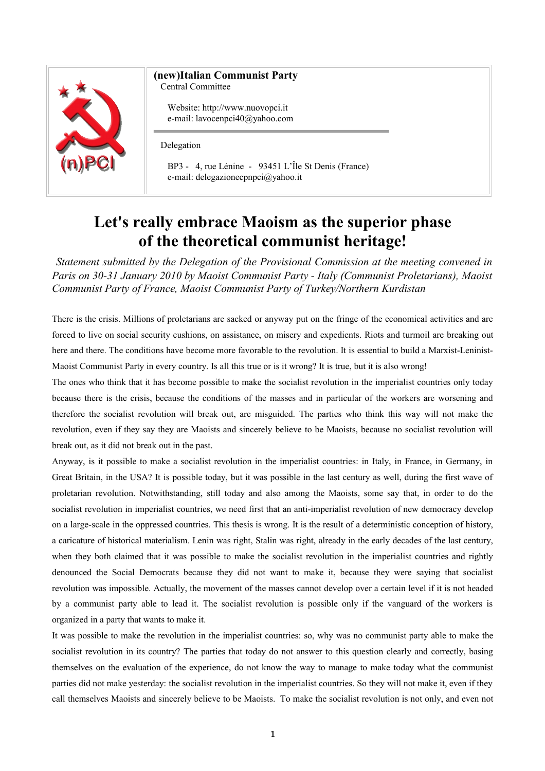

## **(new)Italian Communist Party**

Central Committee

Website: http://www.nuovopci.it e-mail: lavocenpci40@yahoo.com

Delegation

BP3 - 4, rue Lénine - 93451 L'Île St Denis (France) e-mail: delegazionecpnpci@yahoo.it

## **Let's really embrace Maoism as the superior phase of the theoretical communist heritage!**

*Statement submitted by the Delegation of the Provisional Commission at the meeting convened in Paris on 30-31 January 2010 by Maoist Communist Party - Italy (Communist Proletarians), Maoist Communist Party of France, Maoist Communist Party of Turkey/Northern Kurdistan*

There is the crisis. Millions of proletarians are sacked or anyway put on the fringe of the economical activities and are forced to live on social security cushions, on assistance, on misery and expedients. Riots and turmoil are breaking out here and there. The conditions have become more favorable to the revolution. It is essential to build a Marxist-Leninist-Maoist Communist Party in every country. Is all this true or is it wrong? It is true, but it is also wrong!

The ones who think that it has become possible to make the socialist revolution in the imperialist countries only today because there is the crisis, because the conditions of the masses and in particular of the workers are worsening and therefore the socialist revolution will break out, are misguided. The parties who think this way will not make the revolution, even if they say they are Maoists and sincerely believe to be Maoists, because no socialist revolution will break out, as it did not break out in the past.

Anyway, is it possible to make a socialist revolution in the imperialist countries: in Italy, in France, in Germany, in Great Britain, in the USA? It is possible today, but it was possible in the last century as well, during the first wave of proletarian revolution. Notwithstanding, still today and also among the Maoists, some say that, in order to do the socialist revolution in imperialist countries, we need first that an anti-imperialist revolution of new democracy develop on a large-scale in the oppressed countries. This thesis is wrong. It is the result of a deterministic conception of history, a caricature of historical materialism. Lenin was right, Stalin was right, already in the early decades of the last century, when they both claimed that it was possible to make the socialist revolution in the imperialist countries and rightly denounced the Social Democrats because they did not want to make it, because they were saying that socialist revolution was impossible. Actually, the movement of the masses cannot develop over a certain level if it is not headed by a communist party able to lead it. The socialist revolution is possible only if the vanguard of the workers is organized in a party that wants to make it.

It was possible to make the revolution in the imperialist countries: so, why was no communist party able to make the socialist revolution in its country? The parties that today do not answer to this question clearly and correctly, basing themselves on the evaluation of the experience, do not know the way to manage to make today what the communist parties did not make yesterday: the socialist revolution in the imperialist countries. So they will not make it, even if they call themselves Maoists and sincerely believe to be Maoists. To make the socialist revolution is not only, and even not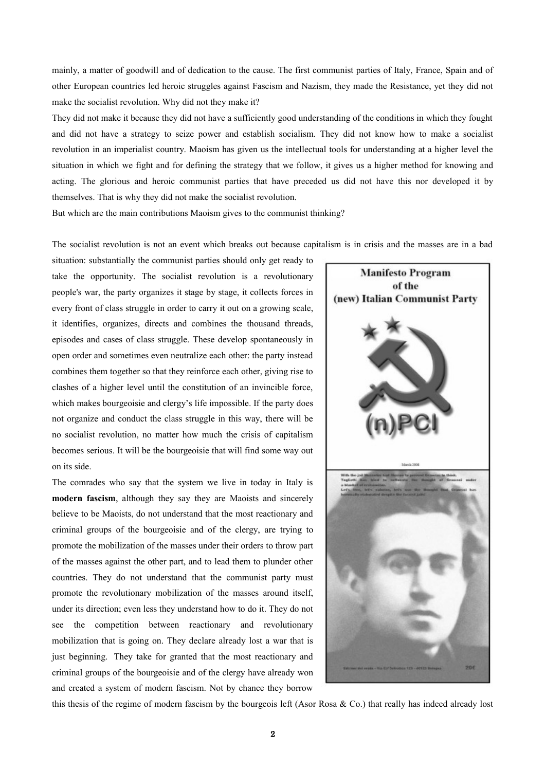mainly, a matter of goodwill and of dedication to the cause. The first communist parties of Italy, France, Spain and of other European countries led heroic struggles against Fascism and Nazism, they made the Resistance, yet they did not make the socialist revolution. Why did not they make it?

They did not make it because they did not have a sufficiently good understanding of the conditions in which they fought and did not have a strategy to seize power and establish socialism. They did not know how to make a socialist revolution in an imperialist country. Maoism has given us the intellectual tools for understanding at a higher level the situation in which we fight and for defining the strategy that we follow, it gives us a higher method for knowing and acting. The glorious and heroic communist parties that have preceded us did not have this nor developed it by themselves. That is why they did not make the socialist revolution.

But which are the main contributions Maoism gives to the communist thinking?

The socialist revolution is not an event which breaks out because capitalism is in crisis and the masses are in a bad

situation: substantially the communist parties should only get ready to take the opportunity. The socialist revolution is a revolutionary people's war, the party organizes it stage by stage, it collects forces in every front of class struggle in order to carry it out on a growing scale, it identifies, organizes, directs and combines the thousand threads, episodes and cases of class struggle. These develop spontaneously in open order and sometimes even neutralize each other: the party instead combines them together so that they reinforce each other, giving rise to clashes of a higher level until the constitution of an invincible force, which makes bourgeoisie and clergy's life impossible. If the party does not organize and conduct the class struggle in this way, there will be no socialist revolution, no matter how much the crisis of capitalism becomes serious. It will be the bourgeoisie that will find some way out on its side.

The comrades who say that the system we live in today in Italy is **modern fascism**, although they say they are Maoists and sincerely believe to be Maoists, do not understand that the most reactionary and criminal groups of the bourgeoisie and of the clergy, are trying to promote the mobilization of the masses under their orders to throw part of the masses against the other part, and to lead them to plunder other countries. They do not understand that the communist party must promote the revolutionary mobilization of the masses around itself, under its direction; even less they understand how to do it. They do not see the competition between reactionary and revolutionary mobilization that is going on. They declare already lost a war that is just beginning. They take for granted that the most reactionary and criminal groups of the bourgeoisie and of the clergy have already won and created a system of modern fascism. Not by chance they borrow



this thesis of the regime of modern fascism by the bourgeois left (Asor Rosa & Co.) that really has indeed already lost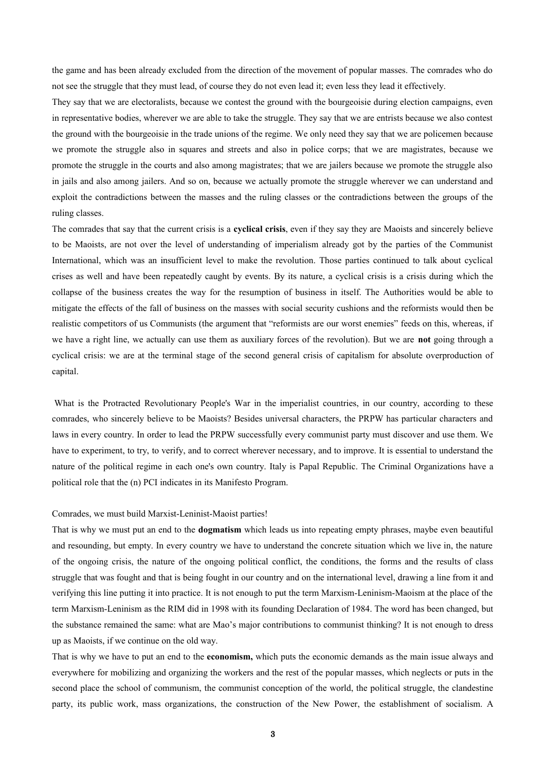the game and has been already excluded from the direction of the movement of popular masses. The comrades who do not see the struggle that they must lead, of course they do not even lead it; even less they lead it effectively.

They say that we are electoralists, because we contest the ground with the bourgeoisie during election campaigns, even in representative bodies, wherever we are able to take the struggle. They say that we are entrists because we also contest the ground with the bourgeoisie in the trade unions of the regime. We only need they say that we are policemen because we promote the struggle also in squares and streets and also in police corps; that we are magistrates, because we promote the struggle in the courts and also among magistrates; that we are jailers because we promote the struggle also in jails and also among jailers. And so on, because we actually promote the struggle wherever we can understand and exploit the contradictions between the masses and the ruling classes or the contradictions between the groups of the ruling classes.

The comrades that say that the current crisis is a **cyclical crisis**, even if they say they are Maoists and sincerely believe to be Maoists, are not over the level of understanding of imperialism already got by the parties of the Communist International, which was an insufficient level to make the revolution. Those parties continued to talk about cyclical crises as well and have been repeatedly caught by events. By its nature, a cyclical crisis is a crisis during which the collapse of the business creates the way for the resumption of business in itself. The Authorities would be able to mitigate the effects of the fall of business on the masses with social security cushions and the reformists would then be realistic competitors of us Communists (the argument that "reformists are our worst enemies" feeds on this, whereas, if we have a right line, we actually can use them as auxiliary forces of the revolution). But we are **not** going through a cyclical crisis: we are at the terminal stage of the second general crisis of capitalism for absolute overproduction of capital.

What is the Protracted Revolutionary People's War in the imperialist countries, in our country, according to these comrades, who sincerely believe to be Maoists? Besides universal characters, the PRPW has particular characters and laws in every country. In order to lead the PRPW successfully every communist party must discover and use them. We have to experiment, to try, to verify, and to correct wherever necessary, and to improve. It is essential to understand the nature of the political regime in each one's own country. Italy is Papal Republic. The Criminal Organizations have a political role that the (n) PCI indicates in its Manifesto Program.

## Comrades, we must build Marxist-Leninist-Maoist parties!

That is why we must put an end to the **dogmatism** which leads us into repeating empty phrases, maybe even beautiful and resounding, but empty. In every country we have to understand the concrete situation which we live in, the nature of the ongoing crisis, the nature of the ongoing political conflict, the conditions, the forms and the results of class struggle that was fought and that is being fought in our country and on the international level, drawing a line from it and verifying this line putting it into practice. It is not enough to put the term Marxism-Leninism-Maoism at the place of the term Marxism-Leninism as the RIM did in 1998 with its founding Declaration of 1984. The word has been changed, but the substance remained the same: what are Mao's major contributions to communist thinking? It is not enough to dress up as Maoists, if we continue on the old way.

That is why we have to put an end to the **economism,** which puts the economic demands as the main issue always and everywhere for mobilizing and organizing the workers and the rest of the popular masses, which neglects or puts in the second place the school of communism, the communist conception of the world, the political struggle, the clandestine party, its public work, mass organizations, the construction of the New Power, the establishment of socialism. A